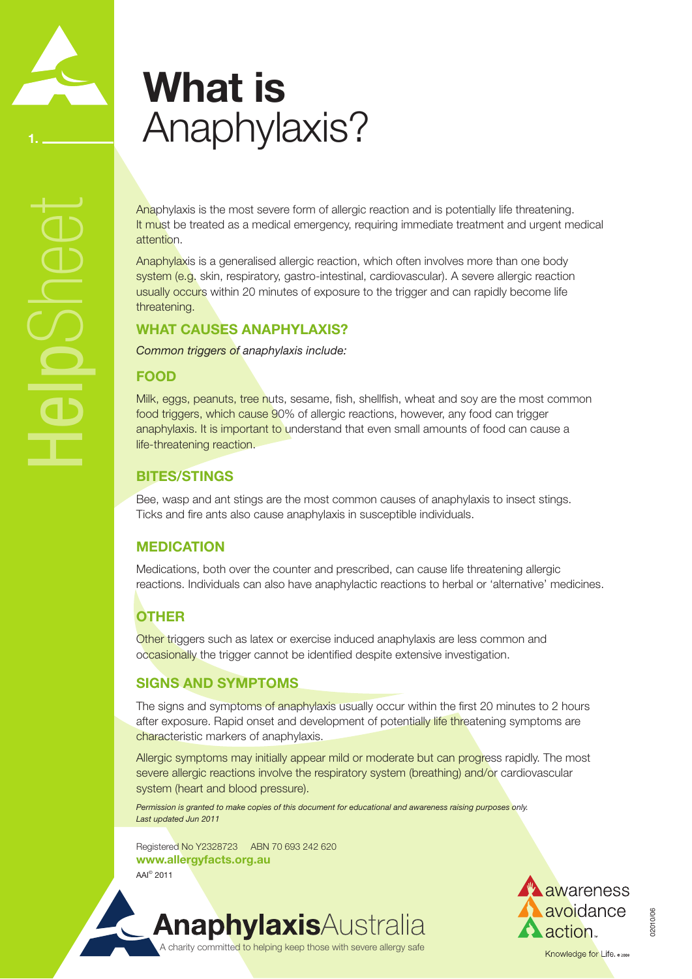# **What is**  Anaphylaxis?

Anaphylaxis is the most severe form of allergic reaction and is potentially life threatening. It must be treated as a medical emergency, requiring immediate treatment and urgent medical attention.

Anaphylaxis is a generalised allergic reaction, which often involves more than one body system (e.g. skin, respiratory, gastro-intestinal, cardiovascular). A severe allergic reaction usually occurs within 20 minutes of exposure to the trigger and can rapidly become life threatening.

### **What causes Anaphylaxis?**

*Common triggers of anaphylaxis include:*

#### **Food**

HelpSheet

Milk, eggs, peanuts, tree nuts, sesame, fish, shellfish, wheat and soy are the most common food triggers, which cause 90% of allergic reactions, however, any food can trigger anaphylaxis. It is important to understand that even small amounts of food can cause a life-threatening reaction.

### **bites/StingS**

Bee, wasp and ant stings are the most common causes of anaphylaxis to insect stings. Ticks and fire ants also cause anaphylaxis in susceptible individuals.

### **Medication**

Medications, both over the counter and prescribed, can cause life threatening allergic reactions. Individuals can also have anaphylactic reactions to herbal or 'alternative' medicines.

### **Other**

Other triggers such as latex or exercise induced anaphylaxis are less common and occasionally the trigger cannot be identified despite extensive investigation.

### **Signs and Symptoms**

The signs and symptoms of anaphylaxis usually occur within the first 20 minutes to 2 hours after exposure. Rapid onset and development of potentially life threatening symptoms are characteristic markers of anaphylaxis.

Allergic symptoms may initially appear mild or moderate but can progress rapidly. The most severe allergic reactions involve the respiratory system (breathing) and/or cardiovascular system (heart and blood pressure).

*Permission is granted to make copies of this document for educational and awareness raising purposes only. Last updated Jun 2011*

Registered No Y2328723 ABN 70 693 242 620 **www.allergyfacts.org.au**  AAI© 2011



02010/06

A charity committed to helping keep those with severe allergy safe

**AnaphylaxisAustralia**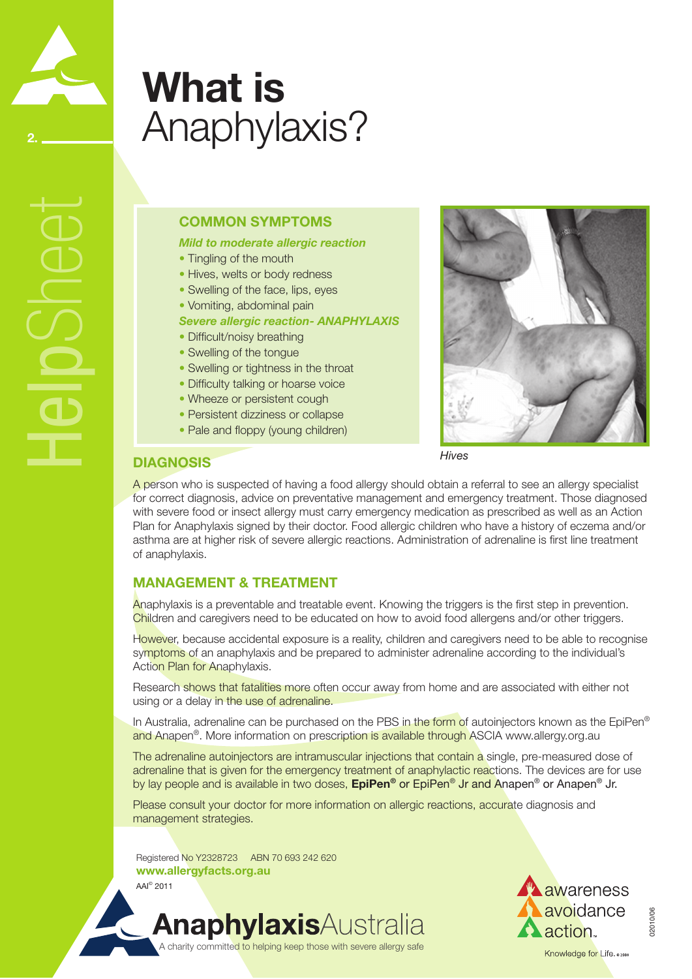## **What is**  Anaphylaxis?

### **Common Symptoms**

*Mild to moderate allergic reaction*

- Tingling of the mouth
- Hives, welts or body redness
- Swelling of the face, lips, eyes
- Vomiting, abdominal pain
- *Severe allergic reaction- ANAPHYLAXIS*
- Difficult/noisy breathing
- Swelling of the tongue
- Swelling or tightness in the throat
- Difficulty talking or hoarse voice
- Wheeze or persistent cough
- Persistent dizziness or collapse
- Pale and floppy (young children)



*Hives*

### **Diagnosis**

HelpSheet

**2.**

A person who is suspected of having a food allergy should obtain a referral to see an allergy specialist for correct diagnosis, advice on preventative management and emergency treatment. Those diagnosed with severe food or insect allergy must carry emergency medication as prescribed as well as an Action Plan for Anaphylaxis signed by their doctor. Food allergic children who have a history of eczema and/or asthma are at higher risk of severe allergic reactions. Administration of adrenaline is first line treatment of anaphylaxis.

### **Management & Treatment**

Anaphylaxis is a preventable and treatable event. Knowing the triggers is the first step in prevention. Children and caregivers need to be educated on how to avoid food allergens and/or other triggers.

However, because accidental exposure is a reality, children and caregivers need to be able to recognise symptoms of an anaphylaxis and be prepared to administer adrenaline according to the individual's Action Plan for Anaphylaxis.

Research shows that fatalities more often occur away from home and are associated with either not using or a delay in the use of adrenaline.

In Australia, adrenaline can be purchased on the PBS in the form of autoinjectors known as the EpiPen® and Anapen®. More information on prescription is available through ASCIA www.allergy.org.au

The adrenaline autoinjectors are intramuscular injections that contain a single, pre-measured dose of adrenaline that is given for the emergency treatment of anaphylactic reactions. The devices are for use by lay people and is available in two doses, **EpiPen®** or EpiPen® Jr and Anapen® or Anapen® Jr.

Please consult your doctor for more information on allergic reactions, accurate diagnosis and management strategies.

Registered No Y2328723 ABN 70 693 242 620 **www.allergyfacts.org.au**  AAI© 2011

A charity committed to helping keep those with severe allergy safe

**AnaphylaxisAustralia** 



02010/06

02010/06